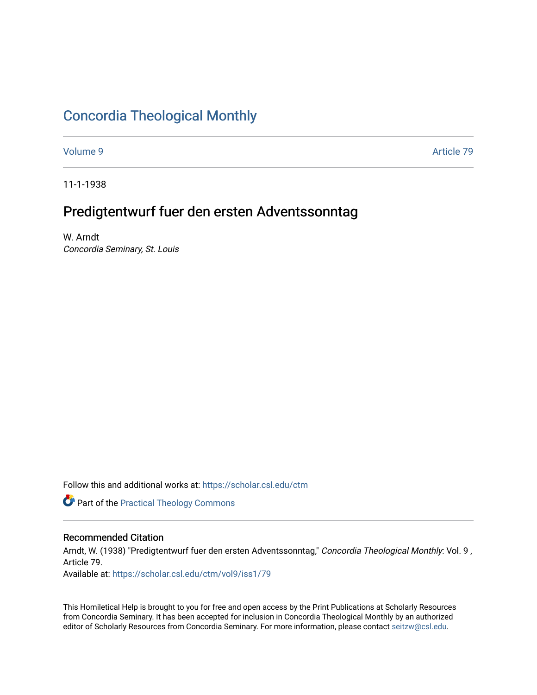# [Concordia Theological Monthly](https://scholar.csl.edu/ctm)

[Volume 9](https://scholar.csl.edu/ctm/vol9) Article 79

11-1-1938

# Predigtentwurf fuer den ersten Adventssonntag

W. Arndt Concordia Seminary, St. Louis

Follow this and additional works at: [https://scholar.csl.edu/ctm](https://scholar.csl.edu/ctm?utm_source=scholar.csl.edu%2Fctm%2Fvol9%2Fiss1%2F79&utm_medium=PDF&utm_campaign=PDFCoverPages)

**Part of the [Practical Theology Commons](http://network.bepress.com/hgg/discipline/1186?utm_source=scholar.csl.edu%2Fctm%2Fvol9%2Fiss1%2F79&utm_medium=PDF&utm_campaign=PDFCoverPages)** 

# Recommended Citation

Arndt, W. (1938) "Predigtentwurf fuer den ersten Adventssonntag," Concordia Theological Monthly: Vol. 9, Article 79.

Available at: [https://scholar.csl.edu/ctm/vol9/iss1/79](https://scholar.csl.edu/ctm/vol9/iss1/79?utm_source=scholar.csl.edu%2Fctm%2Fvol9%2Fiss1%2F79&utm_medium=PDF&utm_campaign=PDFCoverPages)

This Homiletical Help is brought to you for free and open access by the Print Publications at Scholarly Resources from Concordia Seminary. It has been accepted for inclusion in Concordia Theological Monthly by an authorized editor of Scholarly Resources from Concordia Seminary. For more information, please contact [seitzw@csl.edu](mailto:seitzw@csl.edu).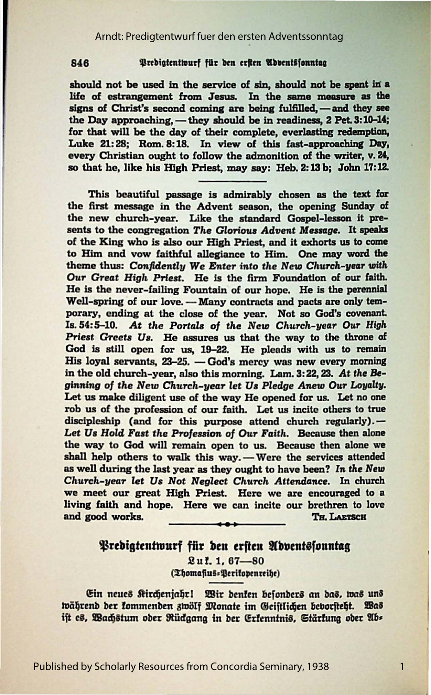#### 846 Predigtentwurf für den erften Abbentsfonntag

should not be used in the service of sin, should not be spent in a life of estrangement from Jesus. In the same measure as the signs of Christ's second coming are being fulfilled, - and they see the Day approaching,  $-$  they should be in readiness,  $2$  Pet.  $3:10-14$ ; for that will be the day of their complete, everlasting redemption, Luke 21:28; Rom. 8:18. In view of this fast-approaching Day, every Christian ought to follow the admonition of the writer, v. 24, so that he, like his High Priest, may say: Heb. 2: 13 b; John 17: 12.

This beautiful passage is admirably chosen as the text for the first message in the Advent season, the opening Sunday of the new church-year. Like the standard Gospel-lesson it presents to the congregation *The Glorious Advent Message*. It speaks of the King who is also our High Priest, and it exhorts us to come *to* Him and vow faithful allegiance to Him. One **may word the**  theme thus: *Confidently We Enter into the New Church-year with Our Great High* Priest. He is the firm Foundation of our faith. He is the never-failing Fountain of our hope. He is the perennial Well-spring of our love. - Many contracts and pacts are only temporary, ending at the close of the year. Not so God's covenant. Is. 54:5-10. *At* the Portals *of the* New *Church-year* Our High Priest Greets Us. He assures us that the way to the throne of God is still open for us, 19-22. He pleads with us to remain His loyal servants,  $23-25.$  - God's mercy was new every morning in the old church-year, also this morning. Lam. 3: 22, 23. *At the* Beginning *of the* New *Church-year* let Us *Pledge Anew* Our *Loyalty.*  Let us make diligent use of the way He opened for us. Let no one rob us of the profession of our faith. Let us incite others to true discipleship (and for this purpose attend church regularly). -Let Us Hold Fast the Profession of Our Faith. Because then alone the way to God will remain open to us. Because then alone we shall help others to walk this way. - Were the services attended as well during the last year as they ought to have been? In the New *Church-year let Us Not Neglect Church Attendance.* In church we meet our great High Priest. Here we are encouraged to a living faith and hope. Here we can incite our brethren to love and good works. \_\_\_\_\_\_\_\_\_ TH. LAnsc:R

## Predigtentwurf für den erften Adventssonntag

.2 u !. 1, 67---80 (Thomafius: Perifopenreihe)

Ein neues Kirchenjahr! Wir denken besonders an das, was uns während der kommenden zwölf Monate im Geistlichen bevorsteht. Was ift es, Wachstum ober Rückgang in ber Erfenntnis, Stärfung ober Ab=

1

Published by Scholarly Resources from Concordia Seminary, 1938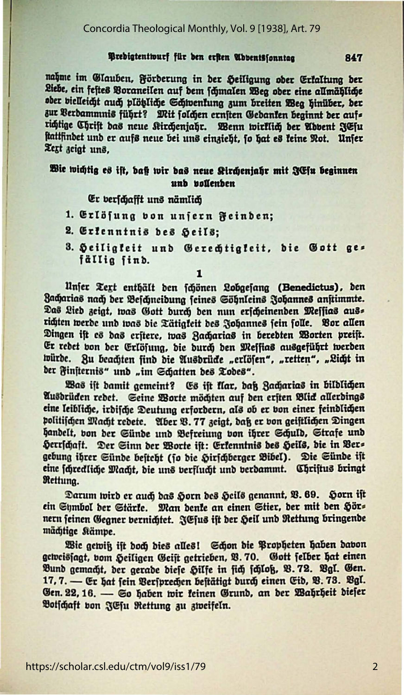#### Predigtentwurf für den erften Abbentssonntag

nahme im Glauben, Förderung in der Heiligung oder Erfaltung der Liebe, ein feites Voraneilen auf dem fämalen Weg ober eine allmähliche oder bielleicht auch plötliche Schwenkung zum breiten Weg hinüber, der zur Verdammnis führt? Mit folchen ernsten Gedanken beginnt der aufs richtige Chrift das neue Kirchenjahr. Wenn wirklich der Abbent JEfu stattfindet und er aufs neue bei uns einzieht, fo hat es teine Not. Unfer Text zeigt uns,

## Wie wichtig es ist, baß wir das neue Kirchenjahr mit JEfu beginnen unb bollenben

### Er verschafft uns nämlich

- 1. Erlösung bon unjern Feinden;
- 2. Erfenntnis bes Seils;
- 3. Heiligkeit und Gerechtigkeit, die Gott ges fällig find.

1

Unfer Text enthält den fchönen Lobgefang (Benedictus), den Bacharias nach der Beschneidung feines Söhnleins Johannes anstimmte. Das Lied zeigt, was Gott durch den nun erscheinenden Messias ausrichten werde und was die Tätigkeit des Johannes sein folle. Vor allen Dingen ift es das erstere, was Zacharias in beredten Worten preist. Er redet von der Erlösung, die durch den Messias ausgeführt werden würde. Zu beachten find die Ausdrücke "erlösen", "retten", "Licht in der Finsternis" und "im Schatten des Todes".

Was ist damit gemeint? Es ist flar, daß Zacharias in bildlichen Ausdrüden redet. Seine Worte möchten auf den ersten Blick allerdings eine leibliche, irdifche Deutung erfordern, als ob er von einer feindlichen politischen Macht redete. Aber B. 77 zeigt, daß er von geiftlichen Dingen handelt, von der Sünde und Befreiung von ihrer Schuld, Strafe und Herrschaft. Der Sinn der Worte ist: Erkenntnis des Heils, die in Vers gebung ihrer Sünde besteht (jo die Hirschberger Bibel). Die Sünde ist eine schredliche Macht, die uns verflucht und verdammt. Christus bringt Rettung.

Darum wird er auch das Horn des Heils genannt, V. 69. Horn ist ein Symbol der Stärke. Man denke an einen Stier, der mit den Hörnern feinen Gegner vernichtet. JEfus ift der Heil und Rettung bringende mächtige Stämpe.

Wie gewiß ist doch dies alles! Schon die Propheten haben davon geweissagt, vom Heiligen Geist getrieben, B. 70. Gott felber hat einen Bund gemacht, der gerade diefe Hilfe in fich fchloß, B. 72. Bgl. Gen. 17, 7. - Er hat fein Bersprechen bestätigt durch einen Eid, B. 73. Bgl. Gen. 22, 16. — So haben wir keinen Grund, an der Wahrheit dieser Botschaft von JEsu Rettung zu zweifeln.